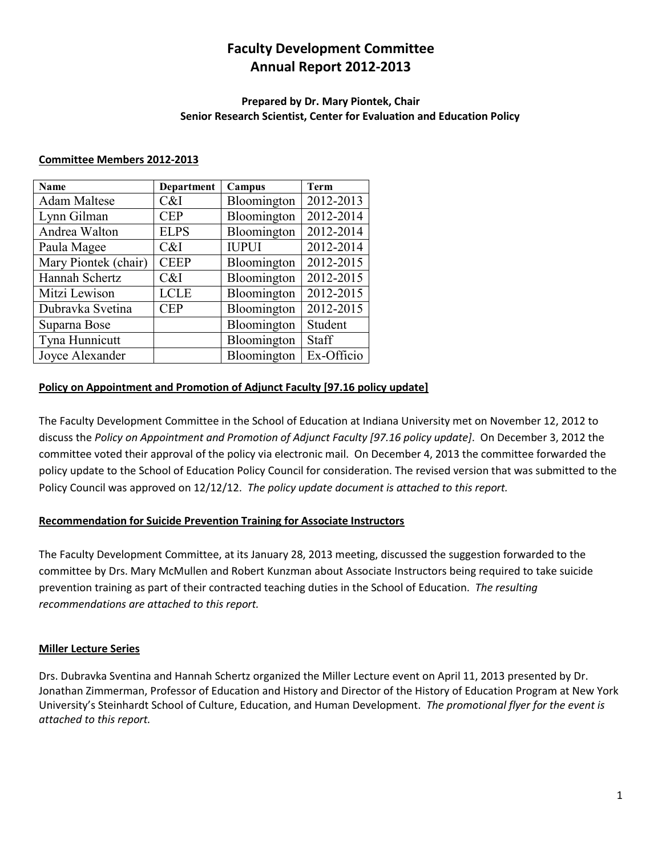### **Faculty Development Committee Annual Report 2012-2013**

#### **Prepared by Dr. Mary Piontek, Chair Senior Research Scientist, Center for Evaluation and Education Policy**

#### **Committee Members 2012-2013**

| Name                 | <b>Department</b> | Campus       | Term       |
|----------------------|-------------------|--------------|------------|
| <b>Adam Maltese</b>  | C&I               | Bloomington  | 2012-2013  |
| Lynn Gilman          | <b>CEP</b>        | Bloomington  | 2012-2014  |
| Andrea Walton        | <b>ELPS</b>       | Bloomington  | 2012-2014  |
| Paula Magee          | C&I               | <b>IUPUI</b> | 2012-2014  |
| Mary Piontek (chair) | <b>CEEP</b>       | Bloomington  | 2012-2015  |
| Hannah Schertz       | C&I               | Bloomington  | 2012-2015  |
| Mitzi Lewison        | <b>LCLE</b>       | Bloomington  | 2012-2015  |
| Dubravka Svetina     | <b>CEP</b>        | Bloomington  | 2012-2015  |
| Suparna Bose         |                   | Bloomington  | Student    |
| Tyna Hunnicutt       |                   | Bloomington  | Staff      |
| Joyce Alexander      |                   | Bloomington  | Ex-Officio |

#### **Policy on Appointment and Promotion of Adjunct Faculty [97.16 policy update]**

The Faculty Development Committee in the School of Education at Indiana University met on November 12, 2012 to discuss the *Policy on Appointment and Promotion of Adjunct Faculty [97.16 policy update]*. On December 3, 2012 the committee voted their approval of the policy via electronic mail. On December 4, 2013 the committee forwarded the policy update to the School of Education Policy Council for consideration. The revised version that was submitted to the Policy Council was approved on 12/12/12. *The policy update document is attached to this report.* 

#### **Recommendation for Suicide Prevention Training for Associate Instructors**

The Faculty Development Committee, at its January 28, 2013 meeting, discussed the suggestion forwarded to the committee by Drs. Mary McMullen and Robert Kunzman about Associate Instructors being required to take suicide prevention training as part of their contracted teaching duties in the School of Education. *The resulting recommendations are attached to this report.*

#### **Miller Lecture Series**

Drs. Dubravka Sventina and Hannah Schertz organized the Miller Lecture event on April 11, 2013 presented by Dr. Jonathan Zimmerman, Professor of Education and History and Director of the History of Education Program at New York University's Steinhardt School of Culture, Education, and Human Development. *The promotional flyer for the event is attached to this report.*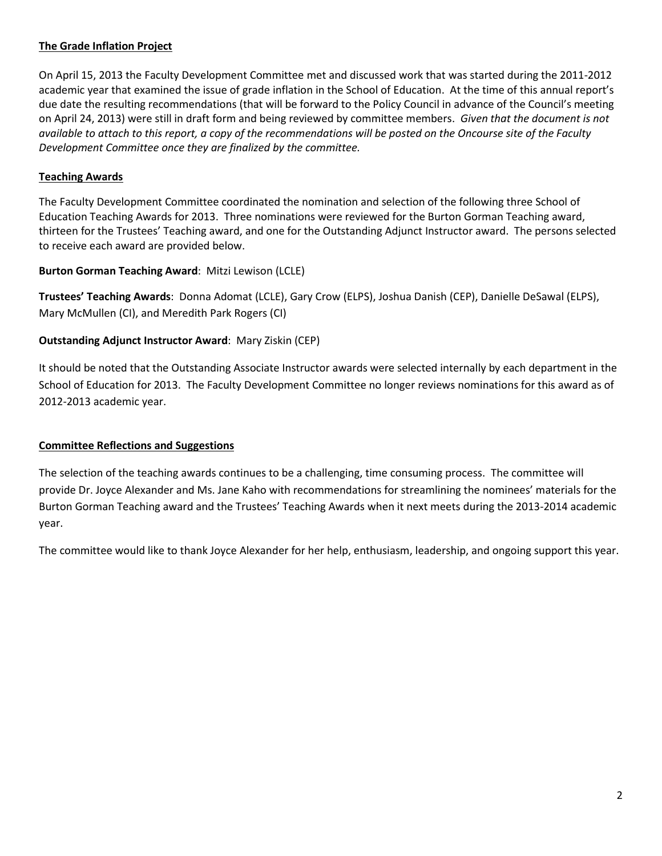#### **The Grade Inflation Project**

On April 15, 2013 the Faculty Development Committee met and discussed work that was started during the 2011-2012 academic year that examined the issue of grade inflation in the School of Education. At the time of this annual report's due date the resulting recommendations (that will be forward to the Policy Council in advance of the Council's meeting on April 24, 2013) were still in draft form and being reviewed by committee members. *Given that the document is not available to attach to this report, a copy of the recommendations will be posted on the Oncourse site of the Faculty Development Committee once they are finalized by the committee.* 

#### **Teaching Awards**

The Faculty Development Committee coordinated the nomination and selection of the following three School of Education Teaching Awards for 2013. Three nominations were reviewed for the Burton Gorman Teaching award, thirteen for the Trustees' Teaching award, and one for the Outstanding Adjunct Instructor award. The persons selected to receive each award are provided below.

#### **Burton Gorman Teaching Award**: Mitzi Lewison (LCLE)

**Trustees' Teaching Awards**: Donna Adomat (LCLE), Gary Crow (ELPS), Joshua Danish (CEP), Danielle DeSawal (ELPS), Mary McMullen (CI), and Meredith Park Rogers (CI)

#### **Outstanding Adjunct Instructor Award**: Mary Ziskin (CEP)

It should be noted that the Outstanding Associate Instructor awards were selected internally by each department in the School of Education for 2013. The Faculty Development Committee no longer reviews nominations for this award as of 2012-2013 academic year.

#### **Committee Reflections and Suggestions**

The selection of the teaching awards continues to be a challenging, time consuming process. The committee will provide Dr. Joyce Alexander and Ms. Jane Kaho with recommendations for streamlining the nominees' materials for the Burton Gorman Teaching award and the Trustees' Teaching Awards when it next meets during the 2013-2014 academic year.

The committee would like to thank Joyce Alexander for her help, enthusiasm, leadership, and ongoing support this year.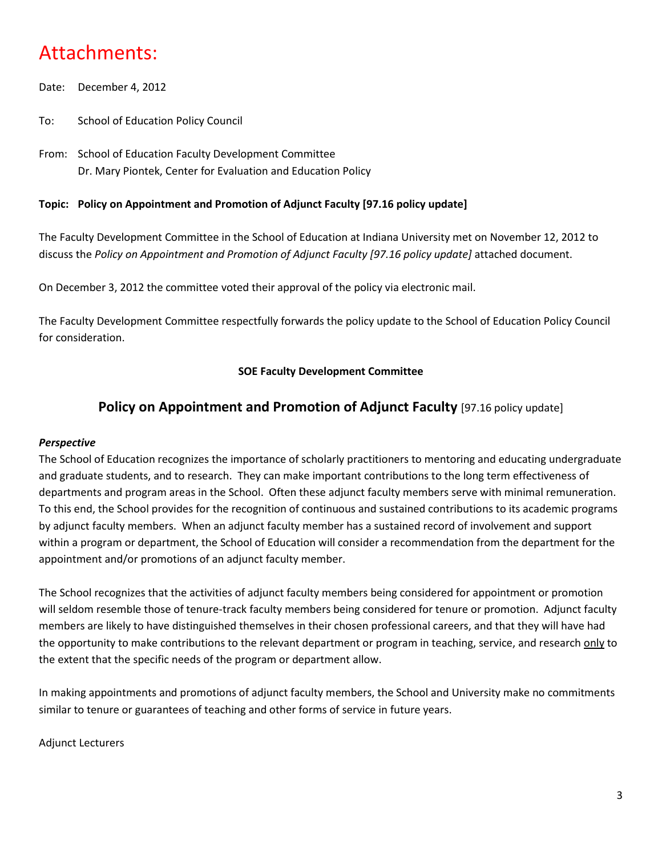## Attachments:

- Date: December 4, 2012
- To: School of Education Policy Council
- From: School of Education Faculty Development Committee Dr. Mary Piontek, Center for Evaluation and Education Policy

#### **Topic: Policy on Appointment and Promotion of Adjunct Faculty [97.16 policy update]**

The Faculty Development Committee in the School of Education at Indiana University met on November 12, 2012 to discuss the *Policy on Appointment and Promotion of Adjunct Faculty [97.16 policy update]* attached document.

On December 3, 2012 the committee voted their approval of the policy via electronic mail.

The Faculty Development Committee respectfully forwards the policy update to the School of Education Policy Council for consideration.

#### **SOE Faculty Development Committee**

#### **Policy on Appointment and Promotion of Adjunct Faculty [97.16 policy update]**

#### *Perspective*

The School of Education recognizes the importance of scholarly practitioners to mentoring and educating undergraduate and graduate students, and to research. They can make important contributions to the long term effectiveness of departments and program areas in the School. Often these adjunct faculty members serve with minimal remuneration. To this end, the School provides for the recognition of continuous and sustained contributions to its academic programs by adjunct faculty members. When an adjunct faculty member has a sustained record of involvement and support within a program or department, the School of Education will consider a recommendation from the department for the appointment and/or promotions of an adjunct faculty member.

The School recognizes that the activities of adjunct faculty members being considered for appointment or promotion will seldom resemble those of tenure-track faculty members being considered for tenure or promotion. Adjunct faculty members are likely to have distinguished themselves in their chosen professional careers, and that they will have had the opportunity to make contributions to the relevant department or program in teaching, service, and research only to the extent that the specific needs of the program or department allow.

In making appointments and promotions of adjunct faculty members, the School and University make no commitments similar to tenure or guarantees of teaching and other forms of service in future years.

#### Adjunct Lecturers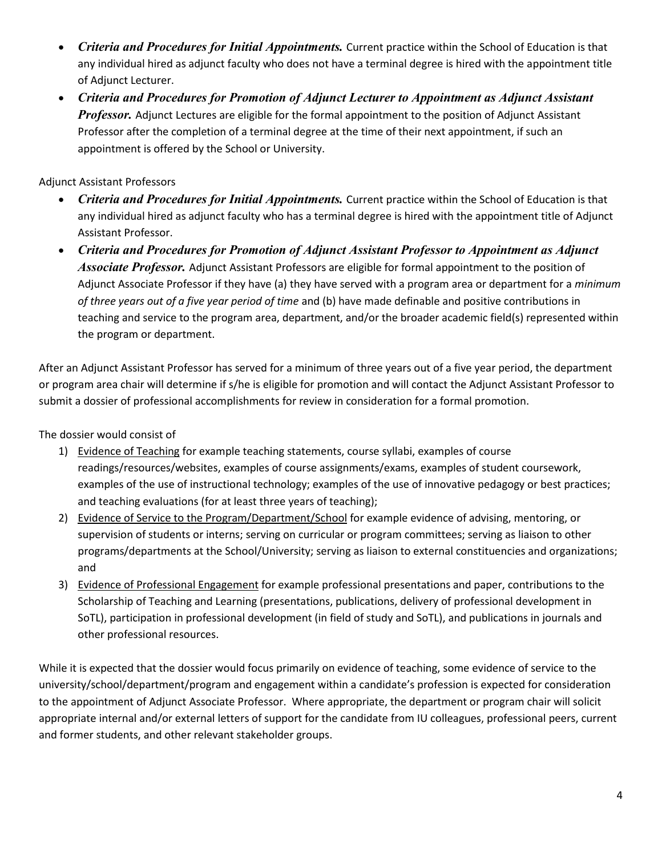- *Criteria and Procedures for Initial Appointments.* Current practice within the School of Education is that any individual hired as adjunct faculty who does not have a terminal degree is hired with the appointment title of Adjunct Lecturer.
- *Criteria and Procedures for Promotion of Adjunct Lecturer to Appointment as Adjunct Assistant Professor.* Adjunct Lectures are eligible for the formal appointment to the position of Adjunct Assistant Professor after the completion of a terminal degree at the time of their next appointment, if such an appointment is offered by the School or University.

Adjunct Assistant Professors

- *Criteria and Procedures for Initial Appointments.* Current practice within the School of Education is that any individual hired as adjunct faculty who has a terminal degree is hired with the appointment title of Adjunct Assistant Professor.
- *Criteria and Procedures for Promotion of Adjunct Assistant Professor to Appointment as Adjunct Associate Professor.* Adjunct Assistant Professors are eligible for formal appointment to the position of Adjunct Associate Professor if they have (a) they have served with a program area or department for a *minimum of three years out of a five year period of time* and (b) have made definable and positive contributions in teaching and service to the program area, department, and/or the broader academic field(s) represented within the program or department.

After an Adjunct Assistant Professor has served for a minimum of three years out of a five year period, the department or program area chair will determine if s/he is eligible for promotion and will contact the Adjunct Assistant Professor to submit a dossier of professional accomplishments for review in consideration for a formal promotion.

The dossier would consist of

- 1) Evidence of Teaching for example teaching statements, course syllabi, examples of course readings/resources/websites, examples of course assignments/exams, examples of student coursework, examples of the use of instructional technology; examples of the use of innovative pedagogy or best practices; and teaching evaluations (for at least three years of teaching);
- 2) Evidence of Service to the Program/Department/School for example evidence of advising, mentoring, or supervision of students or interns; serving on curricular or program committees; serving as liaison to other programs/departments at the School/University; serving as liaison to external constituencies and organizations; and
- 3) Evidence of Professional Engagement for example professional presentations and paper, contributions to the Scholarship of Teaching and Learning (presentations, publications, delivery of professional development in SoTL), participation in professional development (in field of study and SoTL), and publications in journals and other professional resources.

While it is expected that the dossier would focus primarily on evidence of teaching, some evidence of service to the university/school/department/program and engagement within a candidate's profession is expected for consideration to the appointment of Adjunct Associate Professor. Where appropriate, the department or program chair will solicit appropriate internal and/or external letters of support for the candidate from IU colleagues, professional peers, current and former students, and other relevant stakeholder groups.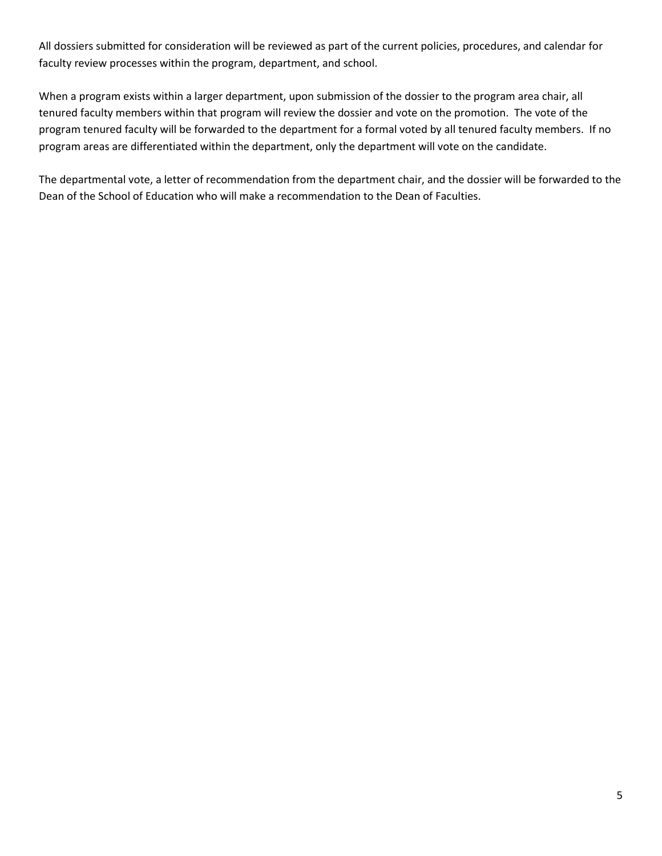All dossiers submitted for consideration will be reviewed as part of the current policies, procedures, and calendar for faculty review processes within the program, department, and school.

When a program exists within a larger department, upon submission of the dossier to the program area chair, all tenured faculty members within that program will review the dossier and vote on the promotion. The vote of the program tenured faculty will be forwarded to the department for a formal voted by all tenured faculty members. If no program areas are differentiated within the department, only the department will vote on the candidate.

The departmental vote, a letter of recommendation from the department chair, and the dossier will be forwarded to the Dean of the School of Education who will make a recommendation to the Dean of Faculties.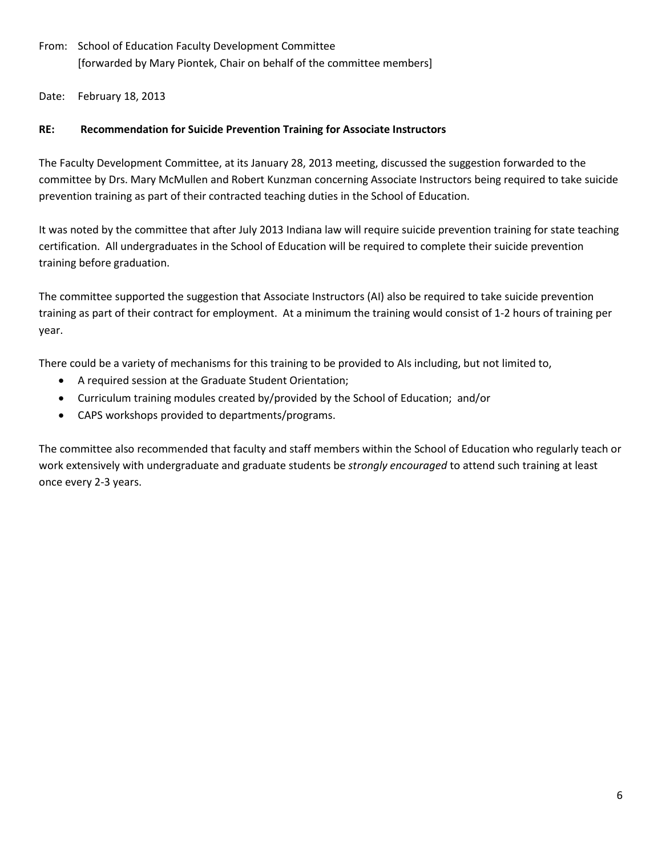From: School of Education Faculty Development Committee [forwarded by Mary Piontek, Chair on behalf of the committee members]

Date: February 18, 2013

#### **RE: Recommendation for Suicide Prevention Training for Associate Instructors**

The Faculty Development Committee, at its January 28, 2013 meeting, discussed the suggestion forwarded to the committee by Drs. Mary McMullen and Robert Kunzman concerning Associate Instructors being required to take suicide prevention training as part of their contracted teaching duties in the School of Education.

It was noted by the committee that after July 2013 Indiana law will require suicide prevention training for state teaching certification. All undergraduates in the School of Education will be required to complete their suicide prevention training before graduation.

The committee supported the suggestion that Associate Instructors (AI) also be required to take suicide prevention training as part of their contract for employment. At a minimum the training would consist of 1-2 hours of training per year.

There could be a variety of mechanisms for this training to be provided to AIs including, but not limited to,

- A required session at the Graduate Student Orientation;
- Curriculum training modules created by/provided by the School of Education; and/or
- CAPS workshops provided to departments/programs.

The committee also recommended that faculty and staff members within the School of Education who regularly teach or work extensively with undergraduate and graduate students be *strongly encouraged* to attend such training at least once every 2-3 years.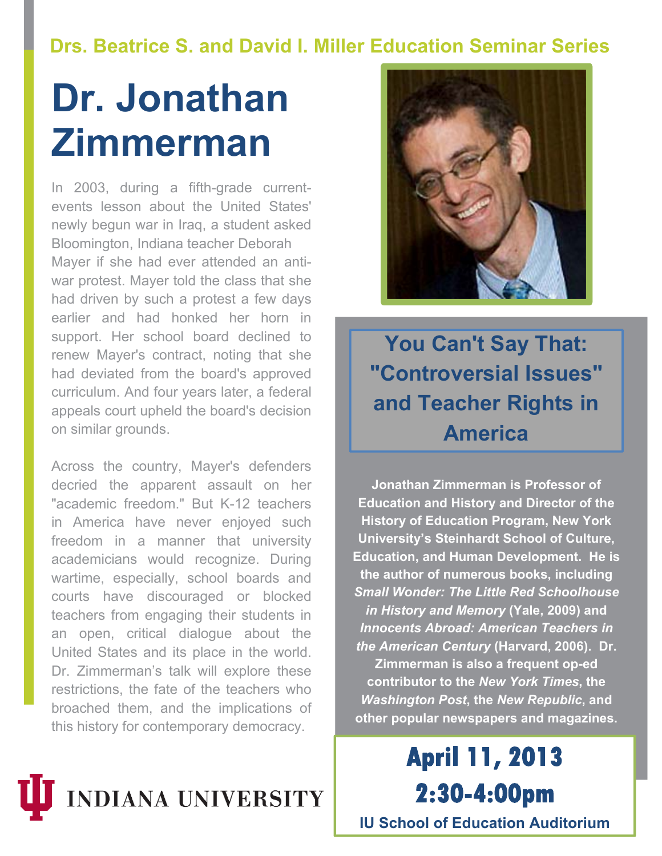## **Drs. Beatrice S. and David I. Miller Education Seminar Series**

# **Dr. Jonathan Zimmerman**

In 2003, during a fifth-grade currentevents lesson about the United States' newly begun war in Iraq, a student asked Bloomington, Indiana teacher Deborah Mayer if she had ever attended an antiwar protest. Mayer told the class that she had driven by such a protest a few days earlier and had honked her horn in support. Her school board declined to renew Mayer's contract, noting that she had deviated from the board's approved curriculum. And four years later, a federal appeals court upheld the board's decision on similar grounds.

Across the country, Mayer's defenders decried the apparent assault on her "academic freedom." But K-12 teachers in America have never enjoyed such freedom in a manner that university academicians would recognize. During wartime, especially, school boards and courts have discouraged or blocked teachers from engaging their students in an open, critical dialogue about the United States and its place in the world. Dr. Zimmerman's talk will explore these restrictions, the fate of the teachers who broached them, and the implications of this history for contemporary democracy.





**You Can't Say That: "Controversial Issues" and Teacher Rights in America**

**Jonathan Zimmerman is Professor of Education and History and Director of the History of Education Program, New York University's Steinhardt School of Culture, Education, and Human Development. He is the author of numerous books, including**  *Small Wonder: The Little Red Schoolhouse in History and Memory* **(Yale, 2009) and**  *Innocents Abroad: American Teachers in the American Century* **(Harvard, 2006). Dr. Zimmerman is also a frequent op-ed contributor to the** *New York Times***, the** 

*Washington Post***, the** *New Republic***, and other popular newspapers and magazines.**

**April 11, 2013 2:30-4:00pm IU School of Education Auditorium**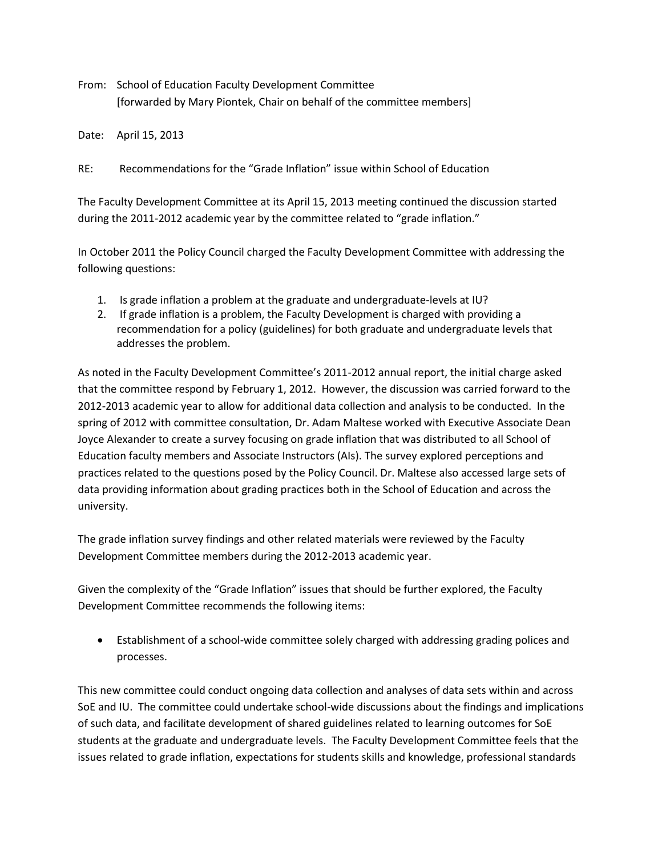From: School of Education Faculty Development Committee [forwarded by Mary Piontek, Chair on behalf of the committee members]

Date: April 15, 2013

RE: Recommendations for the "Grade Inflation" issue within School of Education

The Faculty Development Committee at its April 15, 2013 meeting continued the discussion started during the 2011-2012 academic year by the committee related to "grade inflation."

In October 2011 the Policy Council charged the Faculty Development Committee with addressing the following questions:

- 1. Is grade inflation a problem at the graduate and undergraduate-levels at IU?
- 2. If grade inflation is a problem, the Faculty Development is charged with providing a recommendation for a policy (guidelines) for both graduate and undergraduate levels that addresses the problem.

As noted in the Faculty Development Committee's 2011-2012 annual report, the initial charge asked that the committee respond by February 1, 2012. However, the discussion was carried forward to the 2012-2013 academic year to allow for additional data collection and analysis to be conducted. In the spring of 2012 with committee consultation, Dr. Adam Maltese worked with Executive Associate Dean Joyce Alexander to create a survey focusing on grade inflation that was distributed to all School of Education faculty members and Associate Instructors (AIs). The survey explored perceptions and practices related to the questions posed by the Policy Council. Dr. Maltese also accessed large sets of data providing information about grading practices both in the School of Education and across the university.

The grade inflation survey findings and other related materials were reviewed by the Faculty Development Committee members during the 2012-2013 academic year.

Given the complexity of the "Grade Inflation" issues that should be further explored, the Faculty Development Committee recommends the following items:

 Establishment of a school-wide committee solely charged with addressing grading polices and processes.

This new committee could conduct ongoing data collection and analyses of data sets within and across SoE and IU. The committee could undertake school-wide discussions about the findings and implications of such data, and facilitate development of shared guidelines related to learning outcomes for SoE students at the graduate and undergraduate levels. The Faculty Development Committee feels that the issues related to grade inflation, expectations for students skills and knowledge, professional standards